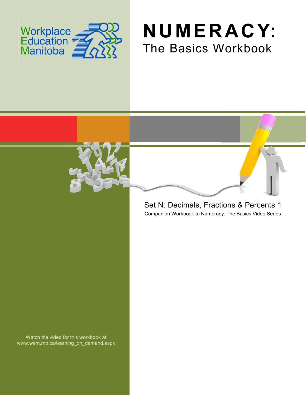

# **NUMERACY:** The Basics Workbook



### Companion Workbook to Numeracy: The Basics Video Series Set N: Decimals, Fractions & Percents 1

Watch the video for this workbook at www.wem.mb.ca/learning\_on\_demand.aspx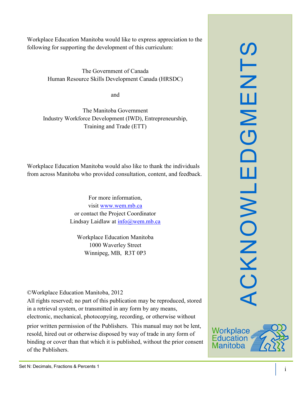SLN ACKNOWLEDGMENTS  $\overline{\mathbf{u}}$  $\mathsf{\Sigma}$  $\overline{O}$  $\Box$ ш CKNOWL

Workplace Education Manitoba would like to express appreciation to the following for supporting the development of this curriculum:

> The Government of Canada Human Resource Skills Development Canada (HRSDC)

> > and

The Manitoba Government Industry Workforce Development (IWD), Entrepreneurship, Training and Trade (ETT)

Workplace Education Manitoba would also like to thank the individuals from across Manitoba who provided consultation, content, and feedback.

> For more information, visit [www.wem.mb.ca](http://www.wem.mb.ca/) or contact the Project Coordinator Lindsay Laidlaw at [info@wem.mb.ca](mailto:info@wem.mb.ca)

Workplace Education Manitoba 1000 Waverley Street Winnipeg, MB, R3T 0P3

©Workplace Education Manitoba, 2012

All rights reserved; no part of this publication may be reproduced, stored in a retrieval system, or transmitted in any form by any means, electronic, mechanical, photocopying, recording, or otherwise without

prior written permission of the Publishers. This manual may not be lent, resold, hired out or otherwise disposed by way of trade in any form of binding or cover than that which it is published, without the prior consent of the Publishers.

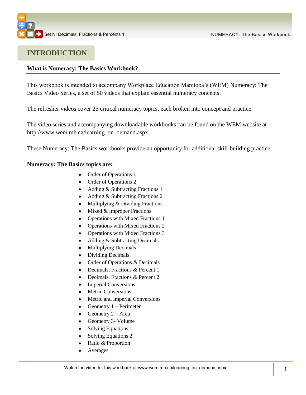

## **INTRODUCTION**

#### **What is Numeracy: The Basics Workbook?**

This workbook is intended to accompany Workplace Education Manitoba's (WEM) Numeracy: The Basics Video Series, a set of 50 videos that explain essential numeracy concepts.

The refresher videos cover 25 critical numeracy topics, each broken into concept and practice.

The video series and accompanying downloadable workbooks can be found on the WEM website at [http://www.wem.mb.ca/learning\\_on\\_demand.aspx](http://www.wem.mb.ca/learning_on_demand.aspx)

These Numeracy: The Basics workbooks provide an opportunity for additional skill-building practice.

#### **Numeracy: The Basics topics are:**

- Order of Operations 1
- Order of Operations 2  $\bullet$
- Adding & Subtracting Fractions 1
- Adding & Subtracting Fractions 2
- $\bullet$ Multiplying & Dividing Fractions
- Mixed & Improper Fractions  $\bullet$
- Operations with Mixed Fractions 1  $\bullet$
- Operations with Mixed Fractions 2
- $\bullet$ Operations with Mixed Fractions 3
- $\bullet$ Adding & Subtracting Decimals
- Multiplying Decimals  $\bullet$
- Dividing Decimals  $\bullet$
- Order of Operations & Decimals  $\bullet$
- Decimals, Fractions & Percent 1  $\bullet$
- Decimals, Fractions & Percent 2  $\bullet$
- Imperial Conversions
- Metric Conversions
- Metric and Imperial Conversions
- Geometry 1 Perimeter  $\bullet$
- Geometry 2 Area  $\bullet$
- Geometry 3- Volume
- Solving Equations 1
- $\bullet$ Solving Equations 2
- Ratio & Proportion  $\bullet$
- Averages  $\bullet$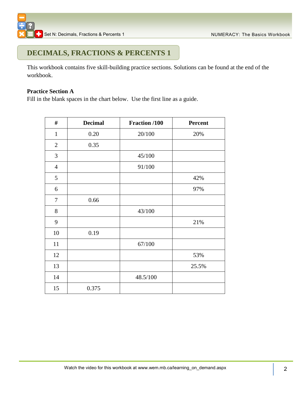### **DECIMALS, FRACTIONS & PERCENTS 1**

This workbook contains five skill-building practice sections. Solutions can be found at the end of the workbook.

#### **Practice Section A**

Fill in the blank spaces in the chart below. Use the first line as a guide.

| $\#$             | <b>Decimal</b> | Fraction /100 | Percent |
|------------------|----------------|---------------|---------|
| $\mathbf{1}$     | 0.20           | 20/100        | 20%     |
| $\overline{2}$   | 0.35           |               |         |
| $\mathfrak{Z}$   |                | 45/100        |         |
| $\overline{4}$   |                | 91/100        |         |
| 5                |                |               | 42%     |
| 6                |                |               | 97%     |
| $\boldsymbol{7}$ | 0.66           |               |         |
| $8\,$            |                | 43/100        |         |
| 9                |                |               | 21%     |
| 10               | 0.19           |               |         |
| 11               |                | 67/100        |         |
| 12               |                |               | 53%     |
| 13               |                |               | 25.5%   |
| 14               |                | 48.5/100      |         |
| 15               | 0.375          |               |         |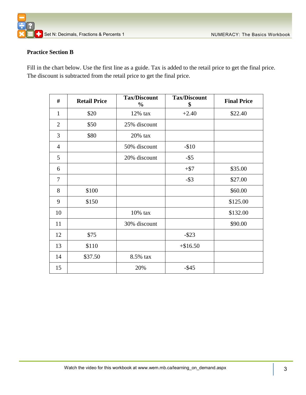

#### **Practice Section B**

Fill in the chart below. Use the first line as a guide. Tax is added to the retail price to get the final price. The discount is subtracted from the retail price to get the final price.

| #              | <b>Retail Price</b> | <b>Tax/Discount</b><br>$\frac{0}{0}$ | <b>Tax/Discount</b><br>\$ | <b>Final Price</b> |
|----------------|---------------------|--------------------------------------|---------------------------|--------------------|
| $\mathbf{1}$   | \$20                | 12% tax                              | $+2.40$                   | \$22.40            |
| $\overline{2}$ | \$50                | 25% discount                         |                           |                    |
| 3              | \$80                | $20\%$ tax                           |                           |                    |
| $\overline{4}$ |                     | 50% discount                         | $-$10$                    |                    |
| 5              |                     | 20% discount                         | $-$ \$5                   |                    |
| 6              |                     |                                      | $+$ \$7                   | \$35.00            |
| 7              |                     |                                      | $-$ \$3                   | \$27.00            |
| 8              | \$100               |                                      |                           | \$60.00            |
| 9              | \$150               |                                      |                           | \$125.00           |
| 10             |                     | 10% tax                              |                           | \$132.00           |
| 11             |                     | 30% discount                         |                           | \$90.00            |
| 12             | \$75                |                                      | $-$ \$23                  |                    |
| 13             | \$110               |                                      | $+ $16.50$                |                    |
| 14             | \$37.50             | 8.5% tax                             |                           |                    |
| 15             |                     | 20%                                  | $-$ \$45                  |                    |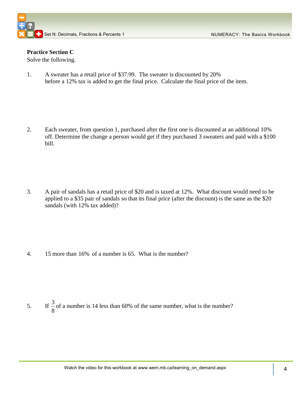#### **Practice Section C**

Solve the following.

1. A sweater has a retail price of \$37.99. The sweater is discounted by 20% before a 12% tax is added to get the final price. Calculate the final price of the item.

2. Each sweater, from question 1, purchased after the first one is discounted at an additional 10% off. Determine the change a person would get if they purchased 3 sweaters and paid with a \$100 bill.

3. A pair of sandals has a retail price of \$20 and is taxed at 12%. What discount would need to be applied to a \$35 pair of sandals so that its final price (after the discount) is the same as the \$20 sandals (with 12% tax added)?

4. 15 more than 16% of a number is 65. What is the number?

5. If  $\frac{3}{5}$ 8 of a number is 14 less than 60% of the same number, what is the number?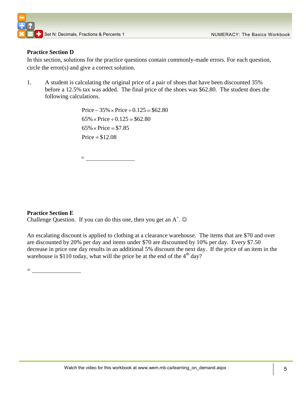#### **Practice Section D**

In this section, solutions for the practice questions contain commonly-made errors. For each question, circle the error(s) and give a correct solution.

1. A student is calculating the original price of a pair of shoes that have been discounted 35% before a 12.5% tax was added. The final price of the shoes was \$62.80. The student does the following calculations.

> Price  $-35\% \times \text{Price} \div 0.125 = $62.80$  $65\% \times \text{Price} \div 0.125 = $62.80$  $65\% \times \text{Price} = $7.85$  $Price = $12.08$

 $=$ 

#### **Practice Section E**

Challenge Question. If you can do this one, then you get an  $A^+$ .  $\odot$ 

An escalating discount is applied to clothing at a clearance warehouse. The items that are \$70 and over are discounted by 20% per day and items under \$70 are discounted by 10% per day. Every \$7.50 decrease in price one day results in an additional 5% discount the next day. If the price of an item in the warehouse is \$110 today, what will the price be at the end of the  $4<sup>th</sup>$  day?

=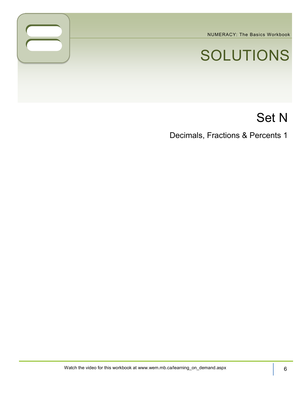NUMERACY: The Basics Workbook

# SOLUTIONS

# Set N

Decimals, Fractions & Percents 1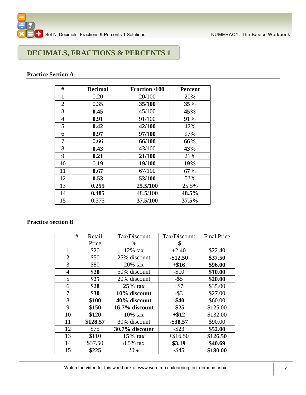

# **DECIMALS, FRACTIONS & PERCENTS 1**

#### **Practice Section A**

| #              | <b>Decimal</b> | Fraction /100 | <b>Percent</b> |
|----------------|----------------|---------------|----------------|
| 1              | 0.20           | 20/100        | 20%            |
| $\overline{2}$ | 0.35           | 35/100        | 35%            |
| 3              | 0.45           | 45/100        | 45%            |
| 4              | 0.91           | 91/100        | 91%            |
| 5              | 0.42           | 42/100        | 42%            |
| 6              | 0.97           | 97/100        | 97%            |
| 7              | 0.66           | 66/100        | 66%            |
| 8              | 0.43           | 43/100        | 43%            |
| 9              | 0.21           | 21/100        | 21%            |
| 10             | 0.19           | 19/100        | 19%            |
| 11             | 0.67           | 67/100        | 67%            |
| 12             | 0.53           | 53/100        | 53%            |
| 13             | 0.255          | 25.5/100      | 25.5%          |
| 14             | 0.485          | 48.5/100      | 48.5%          |
| 15             | 0.375          | 37.5/100      | 37.5%          |

#### **Practice Section B**

| #              | Retail   | Tax/Discount   | Tax/Discount | <b>Final Price</b> |
|----------------|----------|----------------|--------------|--------------------|
|                | Price    | $\%$           | S            |                    |
| 1              | \$20     | $12\%$ tax     | $+2.40$      | \$22.40            |
| $\overline{2}$ | \$50     | 25% discount   | $-$12.50$    | \$37.50            |
| 3              | \$80     | $20\%$ tax     | $+$ \$16     | \$96.00            |
| $\overline{4}$ | \$20     | 50% discount   | $-$10$       | \$10.00            |
| 5              | \$25     | 20% discount   | $-$ \$5      | \$20.00            |
| 6              | \$28     | $25%$ tax      | $+$ \$7      | \$35.00            |
| 7              | \$30     | 10% discount   | $-$ \$3      | \$27.00            |
| 8              | \$100    | 40% discount   | $-$ \$40     | \$60.00            |
| 9              | \$150    | 16.7% discount | $-$ \$25     | \$125.00           |
| 10             | \$120    | $10\%$ tax     | $+\$12$      | \$132.00           |
| 11             | \$128.57 | 30% discount   | $-$ \$38.57  | \$90.00            |
| 12             | \$75     | 30.7% discount | $-$ \$23     | \$52.00            |
| 13             | \$110    | $15%$ tax      | $+\$16.50$   | \$126.50           |
| 14             | \$37.50  | 8.5% tax       | \$3.19       | \$40.69            |
| 15             | \$225    | 20%            | $-$ \$45     | \$180.00           |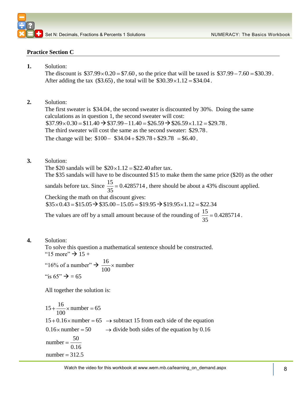#### **Practice Section C**

**1.** Solution:

The discount is  $$37.99 \times 0.20 = $7.60$ , so the price that will be taxed is  $$37.99 - 7.60 = $30.39$ . After adding the tax  $(\$3.65)$ , the total will be  $\$30.39 \times 1.12 = \$34.04$ .

**2.** Solution:

The first sweater is \$34.04 , the second sweater is discounted by 30%. Doing the same calculations as in question 1, the second sweater will cost:  $$37.99 \times 0.30 = $11.40 \rightarrow $37.99 - 11.40 = $26.59 \rightarrow $26.59 \times 1.12 = $29.78$ . The third sweater will cost the same as the second sweater: \$29.78. The third sweater will cost the same as the second sweater:  $$29$ <br>The change will be:  $$100 - $34.04 + $29.78 + $29.78 = $6.40$ .

**3.** Solution:

The \$20 sandals will be  $$20 \times 1.12 = $22.40$  after tax. The \$35 sandals will have to be discounted \$15 to make them the same price (\$20) as the other sandals before tax. Since  $\frac{15}{25} = 0.4285714$ 35 , there should be about a 43% discount applied. Checking the math on that discount gives:  $$35 \times 0.43 = $15.05 \rightarrow $35.00 - 15.05 = $19.95 \rightarrow $19.95 \times 1.12 = $22.34$ The values are off by a small amount because of the rounding of  $\frac{15}{25} = 0.4285714$ .

35

**4.** Solution:

To solve this question a mathematical sentence should be constructed.

" $15$  more"  $\rightarrow$  15 +

"16% of a number"  $\rightarrow \frac{16}{100}$ 100 number "is  $65" \rightarrow 65$ "

All together the solution is:

All together the solutio<br>15 +  $\frac{16}{100}$  × number = 65  $15 + \frac{16}{100}$  × number = 65<br>15 + 0.16 × number = 65  $\rightarrow$  subtract 15 from each side of the equation  $15 + 0.16 \times$  number = 65  $\rightarrow$  subtract 15 from each side of the equation<br>0.16 \times number = 50  $\rightarrow$  divide both sides of the equation by 0.16 number  $=\frac{50}{1}$ 0.16 number =  $\frac{50}{0.16}$ <br>number = 312.5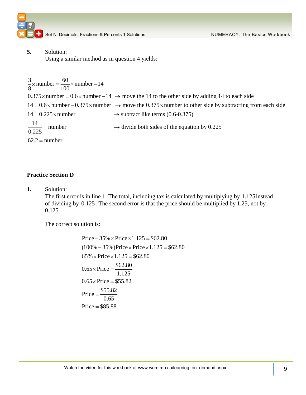

Set N: Decimals, Fractions & Percents 1 Solutions Numer Action 2012 NUMERACY: The Basics Workbook

**5.** Solution:

Using a similar method as in question 4 yields:

5. Solution:<br>Using a similar method a<br> $\frac{3}{8} \times$  number =  $\frac{60}{100} \times$  number - 14 Using a si:<br> $\frac{3}{8} \times$  number =  $\frac{60}{100}$ <br>0.375× number =  $\frac{3}{8}$  x number =  $\frac{60}{100}$  x number -14<br>0.375 x number = 0.6 x number -14  $\rightarrow$  move the 14 to the other side by adding 14 to each side<br>14 = 0.6 x number -0.375 x number  $\rightarrow$  move the 0.375 x number to other side by  $14 = 0.6 \times$  number  $-0.375 \times$  number  $\rightarrow$  move the 0.375  $\times$  number to other side by subtracting from each side<br> $14 = 0.225 \times$  number  $\rightarrow$  subtract like terms (0.6-0.375)  $\frac{3}{8}$  x number =  $\frac{60}{100}$  x number -14<br>0.375 x number = 0.6 x number -14  $\rightarrow$  move the 14 to the other side 14 = 0.6 x number -0.375 x number  $\rightarrow$  move the 0.375 x number to or 14 = 0.225 x number  $\rightarrow$  subtract li  $\rightarrow$  divide both sides of the equation by 0.225 0.225  $14 = 0.225 \times \text{nu}$ <br> $\frac{14}{0.225} = \text{number}$ <br> $62.\overline{2} = \text{number}$ 

#### **Practice Section D**

**1.** Solution:

The first error is in line 1. The total, including tax is calculated by multiplying by 1.125 instead of dividing by 0.125. The second error is that the price should be multiplied by 1.25, not by 0.125.

The correct solution is:

 $Price - 35\% \times Price \times 1.125 = $62.80$ Price – 35% × Price × 1.125 = \$62.80<br>(100% – 35%)Price × Price × 1.125 = \$62.80  $(100\% - 35\%)$ Price × Price ×<br>65% × Price × 1.125 = \$62.80  $0.65 \times \text{Price} = \frac{$62.80}{1.125}$ <br> $0.65 \times \text{Price} = $55.82$ Price  $=\frac{$55.82}{0.55}$ Price  $=$  \$85.88